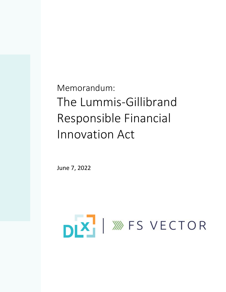Memorandum: The Lummis-Gillibrand Responsible Financial Innovation Act

June 7, 2022

# DIX | WES VECTOR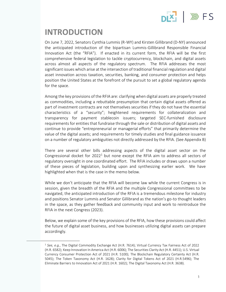

### **INTRODUCTION**

On June 7, 2022, Senators Cynthia Lummis (R-WY) and Kirsten Gillibrand (D-NY) announced the anticipated introduction of the bipartisan Lummis-Gillibrand Responsible Financial Innovation Act (the "RFIA"). If enacted in its current form, the RFIA will be the first comprehensive federal legislation to tackle cryptocurrency, blockchain, and digital assets across almost all aspects of the regulatory spectrum. The RFIA addresses the most significant issues which arise at the intersection of traditional financial regulation and digital asset innovation across taxation, securities, banking, and consumer protection and helps position the United States at the forefront of the pursuit to set a global regulatory agenda for the space.

Among the key provisions of the RFIA are: clarifying when digital assets are properly treated as commodities, including a rebuttable presumption that certain digital assets offered as part of investment contracts are not themselves securities if they do not have the essential characteristics of a "security"; heightened requirements for collateralization and transparency for payment stablecoin issuers; targeted SEC-furnished disclosure requirements for entities that fundraise through the sale or distribution of digital assets and continue to provide "entrepreneurial or managerial efforts" that primarily determine the value of the digital assets; and requirements for timely studies and final guidance issuance on a number of regulatory ambiguities not directly addressed by the RFIA. (See Appendix B)

There are several other bills addressing aspects of the digital asset sector on the Congressional docket for  $2022<sup>1</sup>$  but none except the RFIA aim to address all sectors of regulatory oversight in one coordinated effort. The RFIA includes or draws upon a number of these pieces of legislation, building upon and synthesizing earlier work. We have highlighted when that is the case in the memo below.

While we don't anticipate that the RFIA will become law while the current Congress is in session, given the breadth of the RFIA and the multiple Congressional committees to be navigated, the anticipated introduction of the RFIA is a tremendous milestone for industry and positions Senator Lummis and Senator Gillibrand as the nation's go-to thought leaders in the space, as they gather feedback and community input and work to reintroduce the RFIA in the next Congress (2023).

Below, we explain some of the key provisions of the RFIA, how these provisions could affect the future of digital asset business, and how businesses utilizing digital assets can prepare accordingly.

<sup>1</sup> *See, e.g.*, The Digital Commodity Exchange Act (H.R. 7614); Virtual Currency Tax Fairness Act of 2022 (H.R. 6582); Keep Innovation In America Act (H.R. 6006); The Securities Clarity Act (H.R. 4451); U.S. Virtual Currency Consumer Protection Act of 2021 (H.R. 5100); The Blockchain Regulatory Certainty Act (H.R. 5045); The Token Taxonomy Act (H.R. 1628); Clarity for Digital Tokens Act of 2021 (H.R.5496); The Eliminate Barriers to Innovation Act of 2021 (H.R. 1602); The Digital Taxonomy Act (H.R. 3638).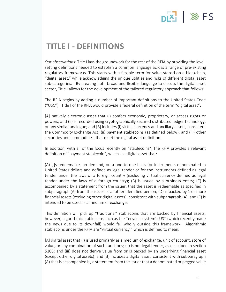### $x$   $\gg$  FS

#### **TITLE I - DEFINITIONS**

*Our observations:* Title I lays the groundwork for the rest of the RFIA by providing the levelsetting definitions needed to establish a common language across a range of pre-existing regulatory frameworks. This starts with a flexible term for value stored on a blockchain, "digital asset," while acknowledging the unique utilities and risks of different digital asset sub-categories. By creating both broad and flexible language to discuss the digital asset sector, Title I allows for the development of the tailored regulatory approach that follows.

The RFIA begins by adding a number of important definitions to the United States Code ("USC"). Title I of the RFIA would provide a federal definition of the term "digital asset":

[A] natively electronic asset that (i) confers economic, proprietary, or access rights or powers; and (ii) is recorded using cryptographically secured distributed ledger technology, or any similar analogue; and [B] includes (i) virtual currency and ancillary assets, consistent the Commodity Exchange Act; (ii) payment stablecoins (as defined below); and (iii) other securities and commodities, that meet the digital asset definition.

In addition, with all of the focus recently on "stablecoins", the RFIA provides a relevant definition of "payment stablecoin", which is a digital asset that:

(A) [I]s redeemable, on demand, on a one to one basis for instruments denominated in United States dollars and defined as legal tender or for the instruments defined as legal tender under the laws of a foreign country (excluding virtual currency defined as legal tender under the laws of a foreign country); (B) is issued by a business entity; (C) is accompanied by a statement from the issuer, that the asset is redeemable as specified in subparagraph (A) from the issuer or another identified person; (D) is backed by 1 or more financial assets (excluding other digital assets), consistent with subparagraph (A); and (E) is intended to be used as a medium of exchange.

This definition will pick up "traditional" stablecoins that are backed by financial assets; however, algorithmic stablecoins such as the Terra ecosystem's UST (which recently made the news due to its downfall) would fall wholly outside this framework. Algorithmic stablecoins under the RFIA are "virtual currency," which is defined to mean:

[A] digital asset that (i) is used primarily as a medium of exchange, unit of account, store of value, or any combination of such functions; (ii) is not legal tender, as described in section 5103; and (iii) does not derive value from or is backed by an underlying financial asset (except other digital assets); and (B) includes a digital asset, consistent with subparagraph (A) that is accompanied by a statement from the issuer that a denominated or pegged value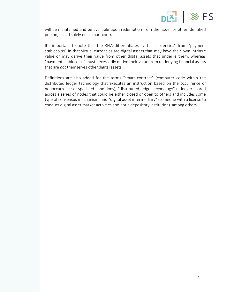

will be maintained and be available upon redemption from the issuer or other identified person, based solely on a smart contract.

It's important to note that the RFIA differentiates "virtual currencies" from "payment stablecoins" in that virtual currencies are digital assets that may have their own intrinsic value or may derive their value from other digital assets that underlie them, whereas "payment stablecoins" must necessarily derive their value from underlying financial assets that are *not* themselves other digital assets.

Definitions are also added for the terms "smart contract" (computer code within the distributed ledger technology that executes an instruction based on the occurrence or nonoccurrence of specified conditions), "distributed ledger technology" (a ledger shared across a series of nodes that could be either closed or open to others and includes some type of consensus mechanism) and "digital asset intermediary" (someone with a license to conduct digital asset market activities and not a depository institution) among others.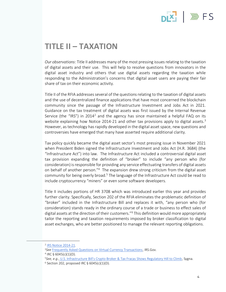# **INS** FS

#### **TITLE II – TAXATION**

*Our observations*: Title II addresses many of the most pressing issues relating to the taxation of digital assets and their use. This will help to resolve questions from innovators in the digital asset industry and others that use digital assets regarding the taxation while responding to the Administration's concerns that digital asset users are paying their fair share of tax on their economic activity.

Title II of the RFIA addresses several of the questions relating to the taxation of digital assets and the use of decentralized finance applications that have most concerned the blockchain community since the passage of the Infrastructure Investment and Jobs Act in 2021. Guidance on the tax treatment of digital assets was first issued by the Internal Revenue Service (the "IRS") in 2014<sup>2</sup> and the agency has since maintained a helpful FAQ on its website explaining how Notice 2014-21 and other tax provisions apply to digital assets.<sup>3</sup> However, as technology has rapidly developed in the digital asset space, new questions and controversies have emerged that many have asserted require additional clarity.

Tax policy quickly became the digital asset sector's most pressing issue in November 2021 when President Biden signed the Infrastructure Investment and Jobs Act (H.R. 3684) (the "Infrastructure Act") into law. The Infrastructure Act included a controversial digital asset tax provision expanding the definition of "broker" to include "any person who (for consideration) is responsible for providing any service effectuating transfers of digital assets on behalf of another person."<sup>4</sup> The expansion drew strong criticism from the digital asset community for being overly broad.<sup>5</sup> The language of the Infrastructure Act could be read to include cryptocurrency "miners" or even some software developers.

Title II includes portions of HR 3708 which was introduced earlier this year and provides further clarity. Specifically, Section 202 of the RFIA eliminates the problematic definition of "broker" included in the Infrastructure Bill and replaces it with, "any person who (for consideration) stands ready in the ordinary course of a trade or business to effect sales of digital assets at the direction of their customers."<sup>6</sup> This definition would more appropriately tailor the reporting and taxation requirements imposed by broker classification to digital asset exchanges, who are better positioned to manage the relevant reporting obligations.

<sup>&</sup>lt;sup>2</sup> IRS Notice 2014-21.

<sup>3</sup>*See* Frequently Asked Questions on Virtual Currency Transactions, IRS.Gov.

<sup>4</sup> IRC § 6045(c)(1)(D).

<sup>5</sup>*See, e.g.*, U.S. Infrastructure Bill's Crypto Broker & Tax Fracas Shows Regulatory Hill to Climb, Sygna.

 $6$  Section 202, proposed IRC § 6045(c)(1)(D).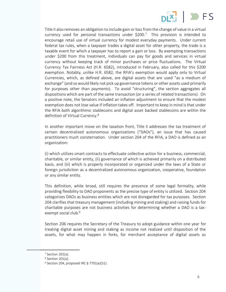

Title II also removes an obligation to include gain or loss from the change of value in a virtual currency used for personal transactions under \$200.<sup>7</sup> This provision is intended to encourage retail use of virtual currency for modest everyday payments. Under current federal tax rules, when a taxpayer trades a digital asset for other property, the trade is a taxable event for which a taxpayer has to report a gain or loss. By exempting transactions under \$200 from this treatment, individuals can pay for goods and services in virtual currency without keeping track of minor purchases or price fluctuations. The Virtual Currency Tax Fairness Act (H.R. 6582), introduced in February, also called for this \$200 exemption. Notably, unlike H.R. 6582, the RFIA's exemption would apply only to Virtual Currencies, which, as defined above, are digital assets that are used "as a medium of exchange" (and so would likely not pick up governance tokens or other assets used primarily for purposes other than payments). To avoid "structuring", the section aggregates all dispositions which are part of the same transaction (or a series of related transactions). On a positive note, the Senators included an inflation adjustment to ensure that the modest exemption does not lose value if inflation takes off. Important to keep in mind is that under the RFIA both algorithmic stablecoins and digital asset backed stablecoins are within the definition of Virtual Currency.<sup>8</sup>

In another important move on the taxation front, Title II addresses the tax treatment of certain decentralized autonomous organizations ("DAOs"), an issue that has caused practitioners much consternation. Under section 204 of the RFIA, a DAO is defined as an organization:

(i) which utilizes smart contracts to effectuate collective action for a business, commercial, charitable, or similar entity, (ii) governance of which is achieved primarily on a distributed basis, and (iii) which is properly incorporated or organized under the laws of a State or foreign jurisdiction as a decentralized autonomous organization, cooperative, foundation or any similar entity.

This definition, while broad, still requires the presence of some legal formality, while providing flexibility to DAO proponents as the precise type of entity is utilized. Section 204 categorizes DAOs as business entities which are not disregarded for tax purposes. Section 204 clarifies that treasury management (including mining and staking) and raising funds for charitable purposes are not business activities for determining whether a DAO is a taxexempt social club.<sup>9</sup>

Section 206 requires the Secretary of the Treasury to adopt guidance within one year for treating digital asset mining and staking as income not realized until disposition of the assets, for what may happen in forks, for merchant acceptance of digital assets as

 $7$  Section 201(a).

<sup>8</sup> Section 201(a).

 $9$  Section 204, proposed IRC § 7701(a)(51).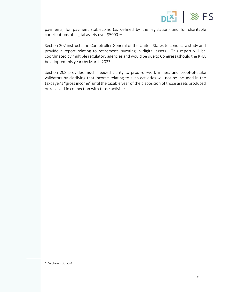

payments, for payment stablecoins (as defined by the legislation) and for charitable contributions of digital assets over \$5000.<sup>10</sup>

Section 207 instructs the Comptroller General of the United States to conduct a study and provide a report relating to retirement investing in digital assets. This report will be coordinated by multiple regulatory agencies and would be due to Congress (should the RFIA be adopted this year) by March 2023.

Section 208 provides much needed clarity to proof-of-work miners and proof-of-stake validators by clarifying that income relating to such activities will not be included in the taxpayer's "gross income" until the taxable year of the disposition of those assets produced or received in connection with those activities.

<sup>10</sup> Section 206(a)(4).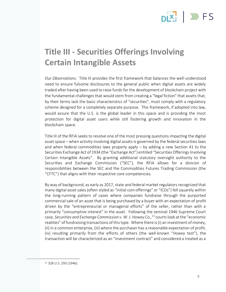

### **Title III - Securities Offerings Involving Certain Intangible Assets**

*Our Observation*s: Title III provides the first framework that balances the well-understood need to ensure fulsome disclosures to the general public when digital assets are widely traded after having been used to raise funds for the development of blockchain project with the fundamental challenges that would stem from creating a "legal fiction" that assets that, by their terms lack the basic characteristics of "securities", must comply with a regulatory scheme designed for a completely separate purpose. This framework, if adopted into law, would assure that the U.S. is the global leader in this space and is providing the most protection for digital asset users while still fostering growth and innovation in the blockchain space.

Title III of the RFIA seeks to resolve one of the most pressing questions impacting the digital asset space – when activity involving digital assets is governed by the federal securities laws and when federal commodities laws properly apply – by adding a new Section 41 to the Securities Exchange Act of 1934 (the "Exchange Act") entitled "Securities Offerings Involving Certain Intangible Assets". By granting additional statutory oversight authority to the Securities and Exchange Commission ("SEC"), the RFIA allows for a division of responsibilities between the SEC and the Commodities Futures Trading Commission (the "CFTC") that aligns with their respective core competencies.

By way of background, as early as 2017, state and federal market regulators recognized that many digital asset sales (often styled as "initial coin offerings" or "ICOs") fell squarely within the long-running pattern of cases where companies fundraise through the purported commercial sale of an asset that is being purchased by a buyer with an expectation of profit driven by the "entrepreneurial or managerial efforts" of the seller, rather than with a primarily "consumptive interest" in the asset. Following the seminal 1946 Supreme Court case, *Securities and Exchange Commission v. W. J. Howey Co.,*<sup>11</sup> courts look at the "economic realities" of fundraising transactions of this type. Where there is (i) an investment of money, (ii) in a common enterprise, (iii) where the purchaser has a reasonable expectation of profit, (iv) resulting primarily from the efforts of others (the well-known "*Howey* test"), the transaction will be characterized as an "investment contract" and considered a treated as a

<sup>11</sup> 328 U.S. 293 (1946).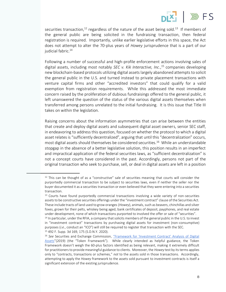

securities transaction,<sup>12</sup> regardless of the nature of the asset being sold.<sup>13</sup> If members of the general public are being solicited in the fundraising transaction, then federal registration is required. Importantly, unlike earlier legislative efforts in this space, the Act does not attempt to alter the 70-plus years of *Howey* jurisprudence that is a part of our judicial fabric.<sup>14</sup>

Following a number of successful and high-profile enforcement actions involving sales of digital assets, including most notably *SEC v. Kik Interactive, Inc*., <sup>15</sup> companies developing new blockchain-based protocols utilizing digital assets largely abandoned attempts to solicit the general public in the U.S. and turned instead to private placement transactions with venture capital firms and other "accredited investors" that could qualify for a valid exemption from registration requirements. While this addressed the most immediate concern raised by the proliferation of dubious fundraisings offered to the general public, it left unanswered the question of the status of the various digital assets themselves when transferred among persons unrelated to the initial fundraising. It is this issue that Title III takes on within the legislation.

Raising concerns about the information asymmetries that can arise between the entities that create and deploy digital assets and subsequent digital asset owners, senior SEC staff, in endeavoring to address this question, focused on whether the protocol to which a digital asset relates is "sufficiently decentralized", arguing that until this "decentralization" occurs, most digital assets should themselves be considered securities.<sup>16</sup> While an understandable stopgap in the absence of a better legislative solution, this position results in an imperfect and impractical application of the federal securities laws, as "sufficient decentralization" is not a concept courts have considered in the past. Accordingly, persons not part of the original transaction who seek to purchase, sell, or deal in digital assets are left in a position

 $12$  This can be thought of as a "constructive" sale of securities meaning that courts will consider the purportedly commercial transaction to be subject to securities laws, even if neither the seller nor the buyer documented it as a securities transaction or even believed that they were entering into a securities transaction.

 $13$  Courts have found purportedly commercial transactions involving a wide variety of non-securities assets to be constructive securities offerings under the "investment contract" clause of the Securities Act. These include tracts of land used to grow oranges (*Howey*), animals, such as beavers, chinchillas and silver foxes, grown for their pelts, whiskey being aged, bank certificates of deposit, payphones, and real estate under development, none of which transactions purported to involved the offer or sale of "securities".

<sup>14</sup> In particular, under the RFIA, a company that solicits members of the general public in the U.S. to invest in "investment contract" transactions by purchasing digital assets for investment (non-consumptive) purposes (*i.e*., conduct an "ICO") will still be required to register that transaction with the SEC. <sup>15</sup> 492 F. Supp. 3d 169, 175 (S.D.N.Y. 2020).

<sup>16</sup> *See* Securities and Exchange Commission, "Framework for 'Investment Contract' Analysis of Digital Assets"(2019) (the "Token Framework"). While clearly intended as helpful guidance, the Token Framework doesn't weigh the 60-plus factors identified as being relevant, making it extremely difficult for practitioners to provide meaningful guidance to clients. Moreover, the *Howey* test by its terms applies only to "contracts, transactions or schemes," *not* to the assets sold in those transactions. Accordingly, attempting to apply the *Howey* framework to the assets sold pursuant to investment contracts is itself a significant extension of the existing jurisprudence.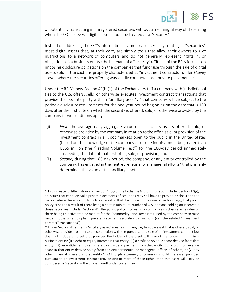

of potentially transacting in unregistered securities without a meaningful way of discerning when the SEC believes a digital asset should be treated as a "security."

Instead of addressing the SEC's information asymmetry concerns by treating as "securities" most digital assets that, at their core, are simply tools that allow their owners to give instructions to a network of computers and do not generally represent rights in, or obligations of, a business entity (the hallmark of a "security"), Title III of the RFIA focuses on imposing disclosure obligations on the companies that fundraise through the sale of digital assets sold in transactions properly characterized as "investment contracts" under *Howey –* even where the securities offering was validly conducted as a private placement.<sup>17</sup>

Under the RFIA's new Section 41(b)(1) of the Exchange Act, if a company with jurisdictional ties to the U.S. offers, sells, or otherwise executes investment contract transactions that provide their counterparty with an "ancillary asset",<sup>18</sup> that company will be subject to the periodic disclosure requirements for the one-year period beginning on the date that is 180 days after the first date on which the security is offered, sold, or otherwise provided by the company if two conditions apply:

- (i) *First*, the average daily aggregate value of all ancillary assets offered, sold, or otherwise provided by the company in relation to the offer, sale, or provision of the investment contract in all spot markets open to the public in the United States (based on the knowledge of the company after due inquiry) must be greater than US\$5 million (the "Trading Volume Test") for the 180-day period immediately succeeding the date of that first offer, sale, or provision; and
- (ii) *Second,* during that 180-day period, the company, or any entity controlled by the company, has engaged in the "entrepreneurial or managerial efforts" that primarily determined the value of the ancillary asset.

<sup>&</sup>lt;sup>17</sup> In this respect, Title III draws on Section 12(g) of the Exchange Act for inspiration. Under Section 12(g), an issuer that conducts valid private placements of securities may still have to provide disclosure to the market where there is a public policy interest in that disclosure (in the case of Section 12(g), that public policy arises as a result of there being a certain minimum number of U.S. persons holding an interest in those securities). Under Section 41, the public policy interest in a company's disclosure arises due to there being an active trading market for the (commodity) ancillary assets used by the company to raise funds in otherwise compliant private placement securities transactions (*i.e*., the related "investment contract" transactions").

<sup>&</sup>lt;sup>18</sup> Under Section 41(a), term "ancillary asset" means an intangible, fungible asset that is offered, sold, or otherwise provided to a person in connection with the purchase and sale of an investment contract but does not include an asset that provides the holder of the asset with any of the following rights in a business entity: (i) a debt or equity interest in that entity; (ii) a profit or revenue share derived from that entity; (iii) an entitlement to an interest or dividend payment from that entity; (iv) a profit or revenue share in that entity derived solely from the entrepreneurial or managerial efforts of others; or (v) any other financial interest in that entity." (Although extremely uncommon, should the asset provided pursuant to an investment contract provide one or more of these rights, then that asset will likely be considered a "security" – the proper result under current law).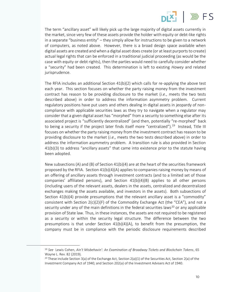

The term "ancillary asset" will likely pick up the large majority of digital assets currently in the market, since very few of these assets provide the holder with equity or debt-like rights in a separate "business entity" – they simply allow for instructions to be given to a network of computers, as noted above. However, there is a broad design space available when digital assets are created and when a digital asset does create (or at least purports to create) actual legal rights that can be enforced in a traditional judicial proceeding (as would be the case with equity or debt rights), then the parties would need to carefully consider whether a "security" had been created. This determination is left to existing *Howey* and related jurisprudence.

The RFIA includes an additional Section 41(b)(2) which calls for re-applying the above test each year. This section focuses on whether the party raising money from the investment contract has reason to be providing disclosure to the market (*i.e*., meets the two tests described above) in order to address the information asymmetry problem. Current regulatory positions have put users and others dealing in digital assets in jeopardy of noncompliance with applicable securities laws as they try to navigate when a regulator may consider that a given digital asset has "morphed" from a security to something else after its associated project is "sufficiently decentralized" (and then, potentially "re-morphed" back to being a security if the project later finds itself more "centralized").<sup>19</sup> Instead, Title III focuses on whether the party raising money from the investment contract has reason to be providing disclosure to the market (*i.e*., meets the two tests described above) in order to address the information asymmetry problem. A transition rule is also provided in Section 41(b)(3) to address "ancillary assets" that came into existence prior to the statute having been adopted.

New subsections (A) and (B) of Section  $41(b)(4)$  are at the heart of the securities framework proposed by the RFIA. Section  $41(b)(4)(A)$  applies to companies raising money by means of an offering of ancillary assets through investment contracts (and to a limited set of those companies' affiliated persons), and Section 41(b)(4)(B) applies to all other persons (including users of the relevant assets, dealers in the assets, centralized and decentralized exchanges making the assets available, and investors in the assets). Both subsections of Section 41(b)(4) provide presumptions that the relevant ancillary asset is a "commodity" consistent with Section  $2(c)(2)(F)$  of the Commodity Exchange Act (the "CEA"), and not a security under any of the main definitions in the federal securities laws<sup>20</sup> or any applicable provision of State law. Thus, in these instances, the assets are not required to be registered as a security or within the security legal structure. The difference between the two presumptions is that under Section  $41(b)(4)(A)$ , to benefit from the presumption, the company must be in compliance with the periodic disclosure requirements described

<sup>19</sup> *See* Lewis Cohen, *Ain't Misbehavin': An Examination of Broadway Tickets and Blockchain Tokens*, 65 Wayne L. Rev. 82 (2019).

<sup>&</sup>lt;sup>20</sup> These include Section 3(a) of the Exchange Act, Section 2(a)(1) of the Securities Act, Section 2(a) of the Investment Company Act of 1940, and Section 202(a) of the Investment Advisers Act of 1940.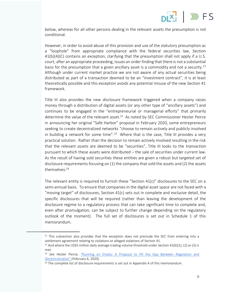

below, whereas for all other persons dealing in the relevant assets the presumption is not conditional.

However, in order to avoid abuse of this provision and use of the statutory presumption as a "loophole" from appropriate compliance with the federal securities law, Section 41(b)(4)(C) contains an exception, clarifying that the presumption shall not apply if a U.S. court, after an appropriate proceeding, issues an order finding that there is not a substantial basis for the presumption that a given ancillary asset is a commodity and not a security.<sup>21</sup> Although under current market practice we are not aware of any actual securities being distributed as part of a transaction deemed to be an "investment contract", it is at least theoretically possible and this exception avoids any potential misuse of the new Section 41 framework.

Title III also provides the new disclosure framework triggered when a company raises money through a distribution of digital assets (or any other type of "ancillary assets") and continues to be engaged in the "entrepreneurial or managerial efforts" that primarily determine the value of the relevant asset.<sup>22</sup> As noted by SEC Commissioner Hester Peirce in announcing her original "Safe Harbor" proposal in February 2020, some entrepreneurs seeking to create decentralized networks "choose to remain actively and publicly involved in building a network for some time".<sup>23</sup> Where that is the case, Title III provides a very practical solution. Rather than the decision to remain actively involved resulting in the risk that the relevant *assets* are deemed to be "securities", Title III looks to the *transaction*  pursuant to which these assets were distributed – the sale of securities under current law. As the result of having sold securities these entities are given a robust but targeted set of disclosure requirements focusing on (1) the company that sold the assets and (2) the assets themselves.<sup>24</sup>

The relevant entity is required to furnish these "Section 41(c)" disclosures to the SEC on a semi-annual basis. To ensure that companies in the digital asset space are not faced with a "moving target" of disclosures, Section 41(c) sets out in complete and *exclusive* detail, the specific disclosures that will be required (rather than leaving the development of the disclosure regime to a regulatory process that can take significant time to complete and, even after promulgation, can be subject to further change depending on the regulatory outlook of the moment). The full set of disclosures is set out in Schedule 1 of this memorandum.

 $21$  This subsection also provides that the exception does not preclude the SEC from entering into a settlement agreement relating to violations or alleged violations of Section 41.

<sup>&</sup>lt;sup>22</sup> And where the US\$5 million daily average trading volume threshold under Section 41(b)(1), (2) or (3) is met.

<sup>23</sup> *See* Hester Peirce, "Running on Empty: A Proposal to Fill the Gap Between Regulation and Decentralization" (February 6, 2020).

<sup>&</sup>lt;sup>24</sup> The complete list of disclosure requirements is set out in Appendix A of this memorandum.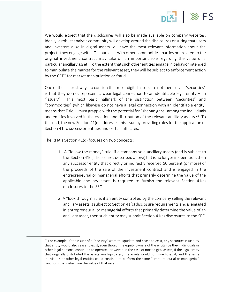

We would expect that the disclosures will also be made available on company websites. Ideally, a robust analytic community will develop around the disclosures ensuring that users and investors alike in digital assets will have the most relevant information about the projects they engage with. Of course, as with other commodities, parties not related to the original investment contract may take on an important role regarding the value of a particular ancillary asset. To the extent that such other entities engage in behavior intended to manipulate the market for the relevant asset, they will be subject to enforcement action by the CFTC for market manipulation or fraud.

One of the clearest ways to confirm that most digital assets are not themselves "securities" is that they do not represent a clear legal connection to an identifiable legal entity – an "issuer." This most basic hallmark of the distinction between "securities" and "commodities" (which likewise do not have a legal connection with an identifiable entity) means that Title III must grapple with the potential for "shenanigans" among the individuals and entities involved in the creation and distribution of the relevant ancillary assets.<sup>25</sup> To this end, the new Section 41(d) addresses this issue by providing rules for the application of Section 41 to successor entities and certain affiliates.

The RFIA's Section 41(d) focuses on two concepts:

- 1) A "follow the money" rule: if a company sold ancillary assets (and is subject to the Section 41(c) disclosures described above) but is no longer in operation, then any successor entity that directly or indirectly received 50 percent (or more) of the proceeds of the sale of the investment contract and is engaged in the entrepreneurial or managerial efforts that primarily determine the value of the applicable ancillary asset, is required to furnish the relevant Section 41(c) disclosures to the SEC.
- 2) A "look through" rule: if an entity controlled by the company selling the relevant ancillary assets is subject to Section 41(c) disclosure requirements and is engaged in entrepreneurial or managerial efforts that primarily determine the value of an ancillary asset, then such entity may submit Section 41(c) disclosures to the SEC.

 $25$  For example, if the issuer of a "security" were to liquidate and cease to exist, any securities issued by that entity would also cease to exist, even though the equity owners of the entity (be they individuals or other legal persons) continued to operate. However, in the case of most digital assets, if the legal entity that originally distributed the assets was liquidated, the assets would continue to exist, and the same individuals or other legal entities could continue to perform the same "entrepreneurial or managerial" functions that determine the value of that asset.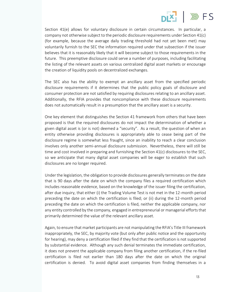

Section 41(e) allows for voluntary disclosure in certain circumstances. In particular, a company not otherwise subject to the periodic disclosure requirements under Section 41(c) (for example, because the average daily trading threshold had not yet been met) may voluntarily furnish to the SEC the information required under that subsection if the issuer believes that it is reasonably likely that it will become subject to those requirements in the future. This preemptive disclosure could serve a number of purposes, including facilitating the listing of the relevant assets on various centralized digital asset markets or encourage the creation of liquidity pools on decentralized exchanges.

The SEC also has the ability to exempt an ancillary asset from the specified periodic disclosure requirements if it determines that the public policy goals of disclosure and consumer protection are not satisfied by requiring disclosures relating to an ancillary asset. Additionally, the RFIA provides that noncompliance with these disclosure requirements does not automatically result in a presumption that the ancillary asset is a security.

One key element that distinguishes the Section 41 framework from others that have been proposed is that the required disclosures do not impact the determination of whether a given digital asset is (or is not) deemed a "security". As a result, the question of when an entity otherwise providing disclosures is appropriately able to cease being part of the disclosure regime is somewhat less fraught, since an inability to reach a clear conclusion involves only another semi-annual disclosure submission. Nevertheless, there will still be time and cost involved in preparing and furnishing the Section 41(c) disclosures to the SEC, so we anticipate that many digital asset companies will be eager to establish that such disclosures are no longer required.

Under the legislation, the obligation to provide disclosures generally terminates on the date that is 90 days after the date on which the company files a required certification which includes reasonable evidence, based on the knowledge of the issuer filing the certification, after due inquiry, that either (i) the Trading Volume Test is not met in the 12-month period preceding the date on which the certification is filed; or (ii) during the 12-month period preceding the date on which the certification is filed, neither the applicable company, nor any entity controlled by the company, engaged in entrepreneurial or managerial efforts that primarily determined the value of the relevant ancillary asset.

Again, to ensure that market participants are not manipulating the RFIA's Title III framework inappropriately, the SEC, by majority vote (but only after public notice and the opportunity for hearing), may deny a certification filed if they find that the certification is not supported by substantial evidence. Although any such denial terminates the immediate certification, it does not prevent the applicable company from filing another certification, if the re-filed certification is filed not earlier than 180 days after the date on which the original certification is denied. To avoid digital asset companies from finding themselves in a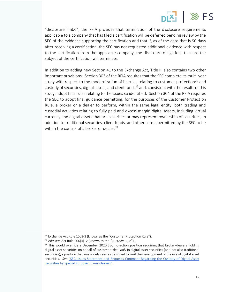

"disclosure limbo", the RFIA provides that termination of the disclosure requirements applicable to a company that has filed a certification will be deferred pending review by the SEC of the evidence supporting the certification and that if, as of the date that is 90 days after receiving a certification, the SEC has not requested additional evidence with respect to the certification from the applicable company, the disclosure obligations that are the subject of the certification will terminate.

In addition to adding new Section 41 to the Exchange Act, Title III also contains two other important provisions. Section 303 of the RFIA requires that the SEC complete its multi-year study with respect to the modernization of its rules relating to customer protection<sup>26</sup> and custody of securities, digital assets, and client funds<sup>27</sup> and, consistent with the results of this study, adopt final rules relating to the issues so identified. Section 304 of the RFIA requires the SEC to adopt final guidance permitting, for the purposes of the Customer Protection Rule, a broker or a dealer to perform, within the same legal entity, both trading and custodial activities relating to fully-paid and excess margin digital assets, including virtual currency and digital assets that are securities or may represent ownership of securities, in addition to traditional securities, client funds, and other assets permitted by the SEC to be within the control of a broker or dealer.<sup>28</sup>

<sup>&</sup>lt;sup>26</sup> Exchange Act Rule 15c3-3 (known as the "Customer Protection Rule").

<sup>27</sup> Advisers Act Rule 206(4)–2 (known as the "Custody Rule").

 $28$  This would override a December 2020 SEC no-action position requiring that broker-dealers holding digital asset securities on behalf of customers deal *only* in digital asset securities (and not also traditional securities), a position that was widely seen as designed to limit the development of the use of digital asset securities. *See* "SEC Issues Statement and Requests Comment Regarding the Custody of Digital Asset Securities by Special Purpose Broker-Dealers".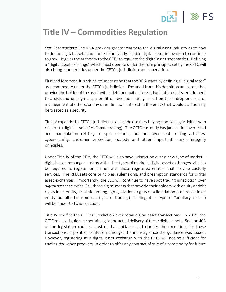# $PIX$   $\gg$  FS

#### **Title IV – Commodities Regulation**

*Our Observations*: The RFIA provides greater clarity to the digital asset industry as to how to define digital assets and, more importantly, enable digital asset innovation to continue to grow. It gives the authority to the CFTC to regulate the digital asset spot market. Defining a "digital asset exchange" which must operate under the core principles set by the CFTC will also bring more entities under the CFTC's jurisdiction and supervision.

First and foremost, it is critical to understand that the RFIA starts by defining a "digital asset" as a commodity under the CFTC's jurisdiction. Excluded from this definition are assets that provide the holder of the asset with a debt or equity interest, liquidation rights, entitlement to a dividend or payment, a profit or revenue sharing based on the entrepreneurial or management of others, or any other financial interest in the entity that would traditionally be treated as a security.

Title IV expands the CFTC's jurisdiction to include ordinary buying-and-selling activities with respect to digital assets (*i.e*., "spot" trading). The CFTC currently has jurisdiction over fraud and manipulation relating to spot markets, but not over spot trading activities, cybersecurity, customer protection, custody and other important market integrity principles.

Under Title IV of the RFIA, the CFTC will also have jurisdiction over a new type of market – digital asset exchanges. Just as with other types of markets, digital asset exchanges will also be required to register or partner with those registered entities that provide custody services. The RFIA sets core principles, rulemaking, and preemption standards for digital asset exchanges. Importantly, the SEC will continue to have spot trading jurisdiction over *digital asset securities* (*i.e.*, those digital assets that provide their holders with equity or debt rights in an entity, or confer voting rights, dividend rights or a liquidation preference in an entity) but all other non-security asset trading (including other types of "ancillary assets") will be under CFTC jurisdiction.

Title IV codifies the CFTC's jurisdiction over retail digital asset transactions. In 2019, the CFTC released guidance pertaining to the actual delivery of these digital assets. Section 403 of the legislation codifies most of that guidance and clarifies the exceptions for these transactions, a point of confusion amongst the industry once the guidance was issued. However, registering as a digital asset exchange with the CFTC will not be sufficient for trading *derivative* products. In order to offer any contract of sale of a commodity for future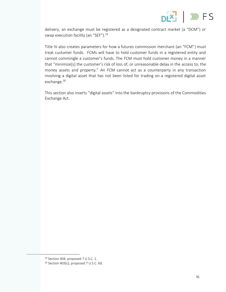

delivery, an exchange must be registered as a designated contract market (a "DCM") or swap execution facility (an "SEF").<sup>29</sup>

Title IV also creates parameters for how a futures commission merchant (an "FCM") must treat customer funds. FCMs will have to hold customer funds in a registered entity and cannot commingle a customer's funds. The FCM must hold customer money in a manner that "minimize[s] the customer's risk of loss of, or unreasonable delay in the access to, the money assets and property." An FCM cannot act as a counterparty in any transaction involving a digital asset that has not been listed for trading on a registered digital asset exchange.<sup>30</sup>

This section also inserts "digital assets" into the bankruptcy provisions of the Commodities Exchange Act.

<sup>29</sup> Section 404, proposed 7 U.S.C. 1. <sup>30</sup> Section 403(c), proposed 7 U.S.C. 6d.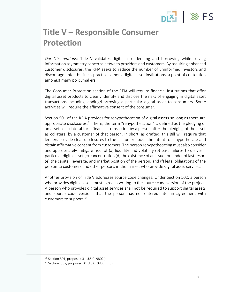# $PIX$   $\gg$  FS

### **Title V – Responsible Consumer Protection**

*Our Observations*: Title V validates digital asset lending and borrowing while solving information asymmetry concerns between providers and customers. By requiring enhanced customer disclosures, the RFIA seeks to reduce the number of uninformed investors and discourage unfair business practices among digital asset institutions, a point of contention amongst many policymakers.

The Consumer Protection section of the RFIA will require financial institutions that offer digital asset products to clearly identify and disclose the risks of engaging in digital asset transactions including lending/borrowing a particular digital asset to consumers. Some activities will require the affirmative consent of the consumer.

Section 501 of the RFIA provides for rehypothecation of digital assets so long as there are appropriate disclosures.<sup>31</sup> There, the term "rehypothecation" is defined as the pledging of an asset as collateral for a financial transaction by a person after the pledging of the asset as collateral by a customer of that person. In short, as drafted, this Bill will require that lenders provide clear disclosures to the customer about the intent to rehypothecate and obtain affirmative consent from customers. The person rehypothecating must also consider and appropriately mitigate risks of (a) liquidity and volatility (b) past failures to deliver a particular digital asset (c) concentration (d) the existence of an issuer or lender of last resort (e) the capital, leverage, and market position of the person, and (f) legal obligations of the person to customers and other persons in the market who provide digital asset services.

Another provision of Title V addresses source code changes. Under Section 502, a person who provides digital assets must agree in writing to the source code version of the project. A person who provides digital asset services shall not be required to support digital assets and source code versions that the person has not entered into an agreement with customers to support. $32$ 

<sup>31</sup> Section 501, proposed 31 U.S.C. 9802(e).

<sup>32</sup> Section 502, proposed 31 U.S.C. 9803(B)(3).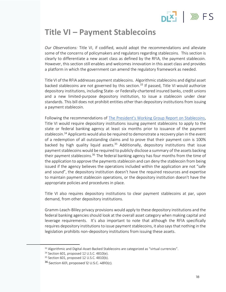### $\mathbb{W}$  FS

#### **Title VI – Payment Stablecoins**

*Our Observations:* Title VI, if codified, would adopt the recommendations and alleviate some of the concerns of policymakers and regulators regarding stablecoins. This section is clearly to differentiate a new asset class as defined by the RFIA, the payment stablecoin. However, this section still enables and welcomes innovation in this asset class and provides a platform in which the government can amend the regulatory framework as needed.

Title VI of the RFIA addresses payment stablecoins. Algorithmic stablecoins and digital asset backed stablecoins are not governed by this section.<sup>33</sup> If passed, Title VI would authorize depository institutions, including State- or Federally-chartered insured banks, credit unions and a new limited-purpose depository institution, to issue a stablecoin under clear standards. This bill does not prohibit entities other than depository institutions from issuing a payment stablecoin.

Following the recommendations of The President's Working Group Report on Stablecoins, Title VI would require depository institutions issuing payment stablecoins to apply to the state or federal banking agency at least six months prior to issuance of the payment stablecoin.<sup>34</sup> Applicants would also be required to demonstrate a recovery plan in the event of a redemption of all outstanding claims and to prove that their payment coin is 100% backed by high quality liquid assets.<sup>35</sup> Additionally, depository institutions that issue payment stablecoins would be required to publicly disclose a summary of the assets backing their payment stablecoins.<sup>36</sup> The federal banking agency has four months from the time of the application to approve the payments stablecoin and can deny the stablecoin from being issued if the agency believes the operations included within the application are not "safe and sound", the depository institution doesn't have the required resources and expertise to maintain payment stablecoin operations, or the depository institution doesn't have the appropriate policies and procedures in place.

Title VI also requires depository institutions to clear payment stablecoins at par, upon demand, from other depository institutions.

Gramm-Leach-Bliley privacy provisions would apply to these depository institutions and the federal banking agencies should look at the overall asset category when making capital and leverage requirements. It's also important to note that although the RFIA specifically requires depository institutions to issue payment stablecoins, it also says that nothing in the legislation prohibits non-depository institutions from issuing these assets.

<sup>&</sup>lt;sup>33</sup> Algorithmic and Digital-Asset-Backed Stablecoins are categorized as "virtual currencies".

<sup>34</sup> Section 601, proposed 12 U.S.C. 4810(e).

<sup>35</sup> Section 601, proposed 12 U.S.C. 4810(b).

<sup>36</sup> Section 601, proposed 12 U.S.C. 4810(c).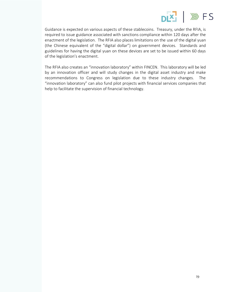

Guidance is expected on various aspects of these stablecoins. Treasury, under the RFIA, is required to issue guidance associated with sanctions compliance within 120 days after the enactment of the legislation. The RFIA also places limitations on the use of the digital yuan (the Chinese equivalent of the "digital dollar") on government devices. Standards and guidelines for having the digital yuan on these devices are set to be issued within 60 days of the legislation's enactment.

The RFIA also creates an "innovation laboratory" within FINCEN. This laboratory will be led by an innovation officer and will study changes in the digital asset industry and make recommendations to Congress on legislation due to these industry changes. The "innovation laboratory" can also fund pilot projects with financial services companies that help to facilitate the supervision of financial technology.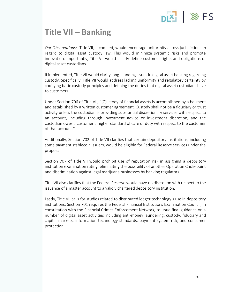### **INS** FS

### **Title VII – Banking**

*Our Observations:* Title VII, if codified, would encourage uniformity across jurisdictions in regard to digital asset custody law. This would minimize systemic risks and promote innovation. Importantly, Title VII would clearly define customer rights and obligations of digital asset custodians.

If implemented, Title VII would clarify long-standing issues in digital asset banking regarding custody. Specifically, Title VII would address lacking uniformity and regulatory certainty by codifying basic custody principles and defining the duties that digital asset custodians have to customers.

Under Section 706 of Title VII, "[C]ustody of financial assets is accomplished by a bailment and established by a written customer agreement. Custody shall not be a fiduciary or trust activity unless the custodian is providing substantial discretionary services with respect to an account, including through investment advice or investment discretion, and the custodian owes a customer a higher standard of care or duty with respect to the customer of that account."

Additionally, Section 702 of Title VII clarifies that certain depository institutions, including some payment stablecoin issuers, would be eligible for Federal Reserve services under the proposal.

Section 707 of Title VII would prohibit use of reputation risk in assigning a depository institution examination rating, eliminating the possibility of another Operation Chokepoint and discrimination against legal marijuana businesses by banking regulators.

Title VII also clarifies that the Federal Reserve would have no discretion with respect to the issuance of a master account to a validly chartered depository institution.

Lastly, Title VII calls for studies related to distributed ledger technology's use in depository institutions. Section 701 requires the Federal Financial Institutions Examination Council, in consultation with the Financial Crimes Enforcement Network, to issue final guidance on a number of digital asset activities including anti-money laundering, custody, fiduciary and capital markets, information technology standards, payment system risk, and consumer protection.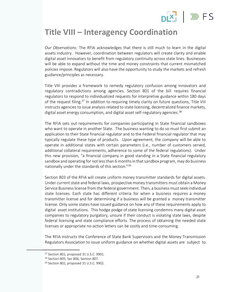# $PIX$   $\gg$  FS

#### **Title VIII – Interagency Coordination**

*Our Observations:* The RFIA acknowledges that there is still much to learn in the digital assets industry. However, coordination between regulators will create clarity and enable digital asset innovators to benefit from regulatory continuity across state lines. Businesses will be able to expand without the time and money constraints that current mismatched policies impose. Regulators will also have the opportunity to study the markets and refresh guidance/principles as necessary.

Title VIII provides a framework to remedy regulatory confusion among innovators and regulatory contradictions among agencies. Section 801 of the bill requires financial regulators to respond to individualized requests for interpretive guidance within 180 days of the request filing.<sup>37</sup> In addition to requiring timely clarity on future questions, Title VIII instructs agencies to issue analysis related to state licensing, decentralized finance markets, digital asset energy consumption, and digital asset self-regulatory agencies.<sup>38</sup>

The RFIA sets out requirements for companies participating in State financial sandboxes who want to operate in another State. The business wanting to do so must first submit an application to their State financial regulator and to the Federal financial regulator that may typically regulate these type of products. Upon agreement, the company will be able to operate in additional states with certain parameters (i.e., number of customers served, additional collateral requirements, adherence to some of the federal regulations). Under this new provision, "a financial company in good standing in a State financial regulatory sandbox and operating for not less than 6 months in that sandbox program, may do business nationally under the standards of this section."<sup>39</sup>

Section 803 of the RFIA will create uniform money transmitter standards for digital assets. Under current state and federal laws, prospective money transmitters must obtain a Money Service Business license from the federal government. Then, a business must seek individual state licenses. Each state has different criteria for when a business requires a money transmitter license and for determining if a business will be granted a money transmitter license. Only some states have issued guidance on how any of these requirements apply to digital asset institutions. This hodge podge of state licensing condemns many digital asset companies to regulatory purgatory, unsure if their conduct is violating state laws, despite federal licensing and state compliance efforts. The process of obtaining the needed state licenses or appropriate no-action letters can be costly and time-consuming.

The RFIA instructs the Conference of State Bank Supervisors and the Money Transmission Regulators Association to issue uniform guidance on whether digital assets are subject to

<sup>&</sup>lt;sup>37</sup> Section 801, proposed 31 U.S.C. 9901.

<sup>38</sup> Section 805; Sec 806; Section 807.

<sup>&</sup>lt;sup>39</sup> Section 802, proposed 31 U.S.C. 9902.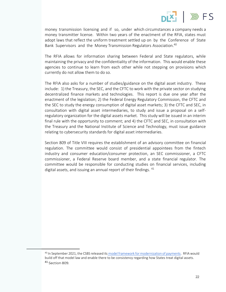

money transmission licensing and if so, under which circumstances a company needs a money transmitter license. Within two years of the enactment of the RFIA, states must adopt laws that reflect the uniform treatment settled up on by the Conference of State Bank Supervisors and the Money Transmission Regulators Association.<sup>40</sup>

The RFIA allows for information sharing between Federal and State regulators, while maintaining the privacy and the confidentiality of the information. This would enable these agencies to continue to learn from each other while not stepping on provisions which currently do not allow them to do so.

The RFIA also asks for a number of studies/guidance on the digital asset industry. These include: 1) the Treasury, the SEC, and the CFTC to work with the private sector on studying decentralized finance markets and technologies. This report is due one year after the enactment of the legislation; 2) the Federal Energy Regulatory Commission, the CFTC and the SEC to study the energy consumption of digital asset markets; 3) the CFTC and SEC, in consultation with digital asset intermediaries, to study and issue a proposal on a selfregulatory organization for the digital assets market. This study will be issued in an interim final rule with the opportunity to comment; and 4) the CFTC and SEC, in consultation with the Treasury and the National Institute of Science and Technology, must issue guidance relating to cybersecurity standards for digital asset intermediaries.

Section 809 of Title VIII requires the establishment of an advisory committee on financial regulation. The committee would consist of presidential appointees from the fintech industry and consumer education/consumer protection, an SEC commissioner, a CFTC commissioner, a Federal Reserve board member, and a state financial regulator. The committee would be responsible for conducting studies on financial services, including digital assets, and issuing an annual report of their findings. <sup>41</sup>

<sup>40</sup> In September 2021, the CSBS released its model framework for modernization of payments. RFIA would build off that model law and enable there to be consistency regarding how States treat digital assets. <sup>41</sup> Section 809.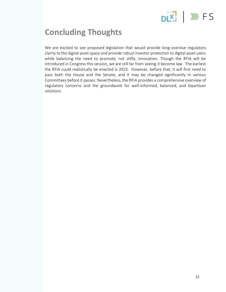

### **Concluding Thoughts**

We are excited to see proposed legislation that would provide long-overdue regulatory clarity to the digital asset space and provide robust investor protection to digital asset users while balancing the need to promote, not stifle, innovation. Though the RFIA will be introduced in Congress this session, we are still far from seeing it become law. The earliest the RFIA could realistically be enacted is 2023. However, before that, it will first need to pass both the House and the Senate, and it may be changed significantly in various Committees before it passes. Nevertheless, the RFIA provides a comprehensive overview of regulatory concerns and the groundwork for well-informed, balanced, and bipartisan solutions.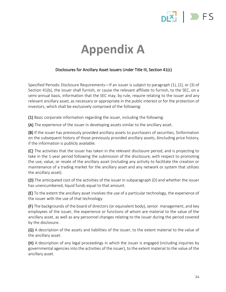

### **Appendix A**

#### Disclosures for Ancillary Asset Issuers Under Title III, Section 41(c)

Specified Periodic Disclosure Requirements—If an issuer is subject to paragraph (1), (2), or (3) of Section 41(b), the issuer shall furnish, or cause the relevant affiliate to furnish, to the SEC, on a semi-annual basis, information that the SEC may, by rule, require relating to the issuer and any relevant ancillary asset, as necessary or appropriate in the public interest or for the protection of investors, which shall be exclusively comprised of the following:

(1) Basic corporate information regarding the issuer, including the following:

(A) The experience of the issuer in developing assets similar to the ancillary asset.

(B) If the issuer has previously provided ancillary assets to purchasers of securities, 5information on the subsequent history of those previously provided ancillary assets, 6including price history, if the information is publicly available.

(C) The activities that the issuer has taken in the relevant disclosure period, and is projecting to take in the 1-year period following the submission of the disclosure, with respect to promoting the use, value, or resale of the ancillary asset (including any activity to facilitate the creation or maintenance of a trading market for the ancillary asset and any network or system that utilizes the ancillary asset).

(D) The anticipated cost of the activities of the issuer in subparagraph (D) and whether the issuer has unencumbered, liquid funds equal to that amount.

(E) To the extent the ancillary asset involves the use of a particular technology, the experience of the issuer with the use of that technology.

(F) The backgrounds of the board of directors (or equivalent body), senior management, and key employees of the issuer, the experience or functions of whom are material to the value of the ancillary asset, as well as any personnel changes relating to the issuer during the period covered by the disclosure.

(G) A description of the assets and liabilities of the issuer, to the extent material to the value of the ancillary asset.

(H) A description of any legal proceedings in which the issuer is engaged (including inquiries by governmental agencies into the activities of the issuer), to the extent material to the value of the ancillary asset.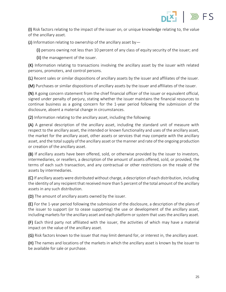

(I) Risk factors relating to the impact of the issuer on, or unique knowledge relating to, the value of the ancillary asset.

(J) Information relating to ownership of the ancillary asset by  $-$ 

(i) persons owning not less than 10 percent of any class of equity security of the issuer; and

(ii) the management of the issuer.

(K) Information relating to transactions involving the ancillary asset by the issuer with related persons, promoters, and control persons.

(L) Recent sales or similar dispositions of ancillary assets by the issuer and affiliates of the issuer.

(M) Purchases or similar dispositions of ancillary assets by the issuer and affiliates of the issuer.

(N) A going concern statement from the chief financial officer of the issuer or equivalent official, signed under penalty of perjury, stating whether the issuer maintains the financial resources to continue business as a going concern for the 1-year period following the submission of the disclosure, absent a material change in circumstances.

(2) Information relating to the ancillary asset, including the following:

(A) A general description of the ancillary asset, including the standard unit of measure with respect to the ancillary asset, the intended or known functionality and uses of the ancillary asset, the market for the ancillary asset, other assets or services that may compete with the ancillary asset, and the total supply of the ancillary asset or the manner and rate of the ongoing production or creation of the ancillary asset.

(B) If ancillary assets have been offered, sold, or otherwise provided by the issuer to investors, intermediaries, or resellers, a description of the amount of assets offered, sold, or provided, the terms of each such transaction, and any contractual or other restrictions on the resale of the assets by intermediaries.

(C) If ancillary assets were distributed without charge, a description of each distribution, including the identity of any recipient that received more than 5 percent of the total amount of the ancillary assets in any such distribution.

(D) The amount of ancillary assets owned by the issuer.

(E) For the 1-year period following the submission of the disclosure, a description of the plans of the issuer to support (or to cease supporting) the use or development of the ancillary asset, including markets for the ancillary asset and each platform or system that uses the ancillary asset.

(F) Each third party not affiliated with the issuer, the activities of which may have a material impact on the value of the ancillary asset.

(G) Risk factors known to the issuer that may limit demand for, or interest in, the ancillary asset.

(H) The names and locations of the markets in which the ancillary asset is known by the issuer to be available for sale or purchase.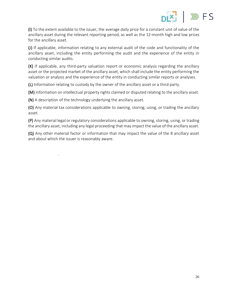

(I) To the extent available to the issuer, the average daily price for a constant unit of value of the ancillary asset during the relevant reporting period, as well as the 12-month high and low prices for the ancillary asset.

(J) If applicable, information relating to any external audit of the code and functionality of the ancillary asset, including the entity performing the audit and the experience of the entity in conducting similar audits.

(K) If applicable, any third-party valuation report or economic analysis regarding the ancillary asset or the projected market of the ancillary asset, which shall include the entity performing the valuation or analysis and the experience of the entity in conducting similar reports or analyses.

(L) Information relating to custody by the owner of the ancillary asset or a third party.

(M) Information on intellectual property rights claimed or disputed relating to the ancillary asset.

(N) A description of the technology underlying the ancillary asset.

.

(O) Any material tax considerations applicable to owning, storing, using, or trading the ancillary asset.

(P) Any material legal or regulatory considerations applicable to owning, storing, using, or trading the ancillary asset, including any legal proceeding that may impact the value of the ancillary asset.

(Q) Any other material factor or information that may impact the value of the 8 ancillary asset and about which the issuer is reasonably aware.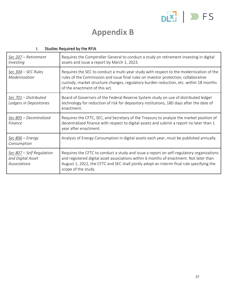

#### **Appendix B**

| Sec 207 - Retirement<br>Investing                                     | Requires the Comptroller General to conduct a study on retirement investing in digital<br>assets and issue a report by March 1, 2023.                                                                                                                                                                    |
|-----------------------------------------------------------------------|----------------------------------------------------------------------------------------------------------------------------------------------------------------------------------------------------------------------------------------------------------------------------------------------------------|
| Sec 304 - SEC Rules<br>Modernization                                  | Requires the SEC to conduct a multi-year study with respect to the modernization of the<br>rules of the Commission and issue final rules on investor protection, collaborative<br>custody, market structure changes, regulatory burden reduction, etc. within 18 months<br>of the enactment of this act. |
| Sec 701 - Distributed<br>Ledgers in Depositories                      | Board of Governors of the Federal Reserve System study on use of distributed ledger<br>technology for reduction of risk for depository institutions, 180 days after the date of<br>enactment.                                                                                                            |
| Sec 805 - Decentralized<br>Finance                                    | Requires the CFTC, SEC, and Secretary of the Treasury to analyze the market position of<br>decentralized finance with respect to digital assets and submit a report no later than 1<br>year after enactment.                                                                                             |
| Sec 806 - Energy<br>Consumption                                       | Analysis of Energy Consumption in digital assets each year, must be published annually.                                                                                                                                                                                                                  |
| Sec 807 – Self Regulation<br>and Digital Asset<br><b>Associations</b> | Requires the CFTC to conduct a study and issue a report on self-regulatory organizations<br>and registered digital asset associations within 6 months of enactment. Not later than<br>August 1, 2022, the CFTC and SEC shall jointly adopt an interim final rule specifying the<br>scope of the study.   |

#### I. Studies Required by the RFIA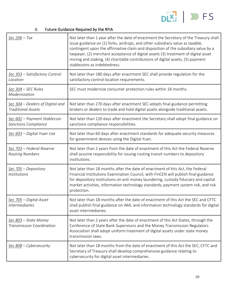

#### II. Future Guidance Required by the RFIA

| $Sec 206 - Tax$                                               | Not later than 1 year after the date of enactment the Secretary of the Treasury shall<br>issue guidance on (1) forks, airdrops, and other subsidiary value as taxable,<br>contingent upon the affirmative claim and disposition of the subsidiary value by a<br>taxpayer, (2) merchant acceptance of digital assets (3) treatment of digital asset<br>mining and staking, (4) charitable contributions of digital assets, (5) payment<br>stablecoins as indebtedness. |
|---------------------------------------------------------------|-----------------------------------------------------------------------------------------------------------------------------------------------------------------------------------------------------------------------------------------------------------------------------------------------------------------------------------------------------------------------------------------------------------------------------------------------------------------------|
| Sec 303 - Satisfactory Control<br>Location                    | Not later than 180 days after enactment SEC shall provide regulation for the<br>satisfactory control location requirements.                                                                                                                                                                                                                                                                                                                                           |
| <u>Sec 304</u> – SEC Rules<br>Modernization                   | SEC must modernize consumer protection rules within 18 months.                                                                                                                                                                                                                                                                                                                                                                                                        |
| Sec 304 - Dealers of Digital and<br><b>Traditional Assets</b> | Not later than 270 days after enactment SEC adopts final guidance permitting<br>brokers or dealers to trade and hold digital assets alongside traditional assets.                                                                                                                                                                                                                                                                                                     |
| Sec 602 - Payment Stablecoin<br><b>Sanctions Compliance</b>   | Not later than 120 days after enactment the Secretary shall adopt final guidance on<br>sanctions compliance responsibilities.                                                                                                                                                                                                                                                                                                                                         |
| Sec 603 - Digital Yuan Use                                    | Not later than 60 days after enactment standards for adequate security measures<br>for government devices using the Digital Yuan.                                                                                                                                                                                                                                                                                                                                     |
| <u>Sec 703</u> – Federal Reserve<br><b>Routing Numbers</b>    | Not later than 2 years from the date of enactment of this Act the Federal Reserve<br>shall assume responsibility for issuing routing transit numbers to depository<br>institutions.                                                                                                                                                                                                                                                                                   |
| Sec 705 - Depository<br><b>Institutions</b>                   | Not later than 18 months after the date of enactment of this Act, the Federal<br>Financial Institutions Examination Council, with FinCEN will publish final guidance<br>for depository institutions on anti money laundering, custody fiduciary and capital<br>market activities, information technology standards, payment system risk, and risk<br>protection.                                                                                                      |
| Sec 705 - Digital Asset<br><b>Intermediaries</b>              | Not later than 18 months after the date of enactment of this Act the SEC and CFTC<br>shall publish final guidance on AML and information technology standards for digital<br>asset intermediaries.                                                                                                                                                                                                                                                                    |
| Sec 803 - State Money<br><b>Transmission Coordination</b>     | Not later than 2 years after the date of enactment of this Act States, through the<br>Conference of State Bank Supervisors and the Money Transmission Regulators<br>Association shall adopt uniform treatment of digital assets under state money<br>transmission laws.                                                                                                                                                                                               |
| Sec 808 - Cybersecurity                                       | Not later than 18 months from the date of enactment of this Act the SEC, CFTC and<br>Secretary of Treasury shall develop comprehensive guidance relating to<br>cybersecurity for digital asset intermediaries.                                                                                                                                                                                                                                                        |